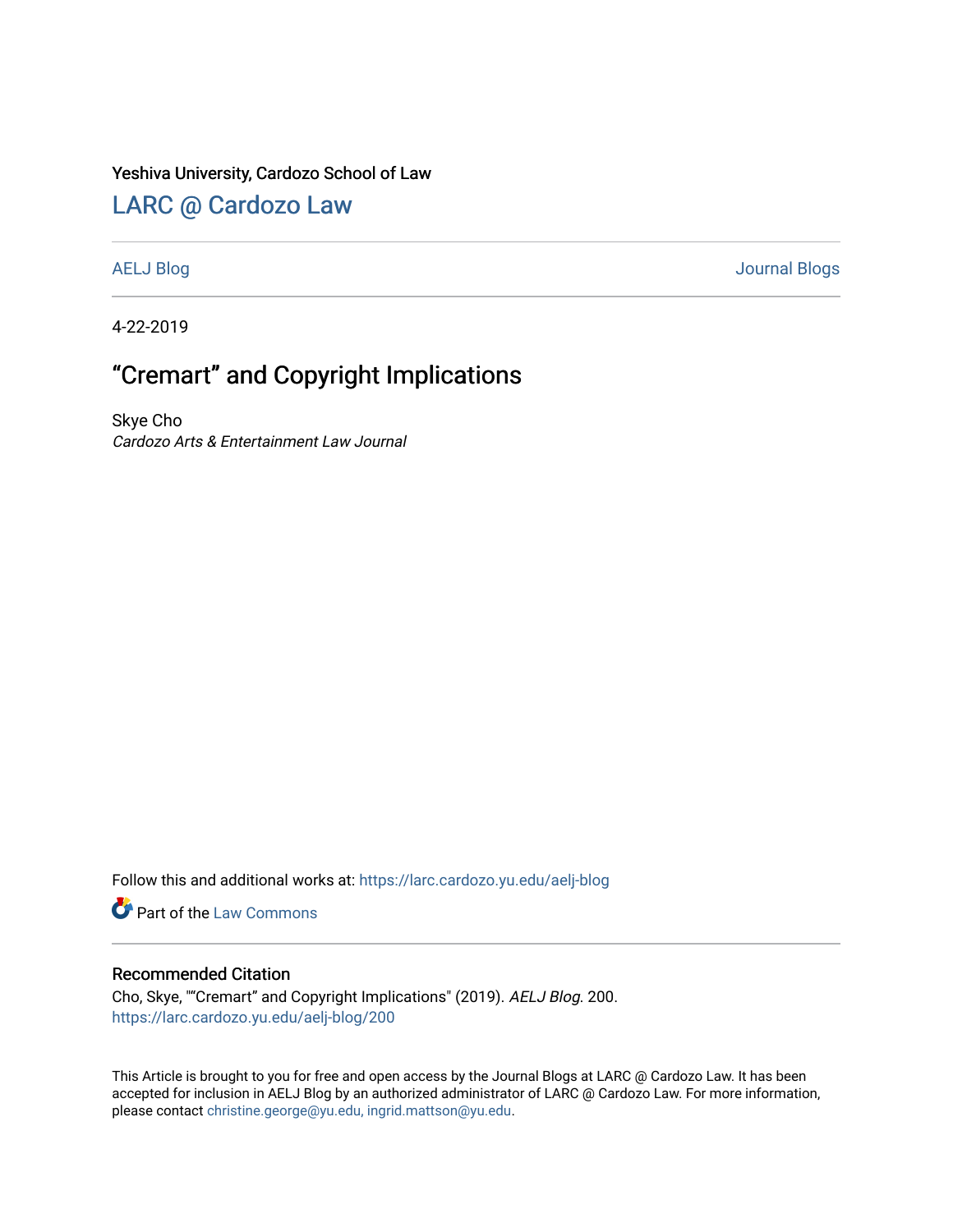### Yeshiva University, Cardozo School of Law

## [LARC @ Cardozo Law](https://larc.cardozo.yu.edu/)

[AELJ Blog](https://larc.cardozo.yu.edu/aelj-blog) [Journal Blogs](https://larc.cardozo.yu.edu/journal-blogs) 

4-22-2019

# "Cremart" and Copyright Implications

Skye Cho Cardozo Arts & Entertainment Law Journal

Follow this and additional works at: [https://larc.cardozo.yu.edu/aelj-blog](https://larc.cardozo.yu.edu/aelj-blog?utm_source=larc.cardozo.yu.edu%2Faelj-blog%2F200&utm_medium=PDF&utm_campaign=PDFCoverPages) 

Part of the [Law Commons](http://network.bepress.com/hgg/discipline/578?utm_source=larc.cardozo.yu.edu%2Faelj-blog%2F200&utm_medium=PDF&utm_campaign=PDFCoverPages)

#### Recommended Citation

Cho, Skye, ""Cremart" and Copyright Implications" (2019). AELJ Blog. 200. [https://larc.cardozo.yu.edu/aelj-blog/200](https://larc.cardozo.yu.edu/aelj-blog/200?utm_source=larc.cardozo.yu.edu%2Faelj-blog%2F200&utm_medium=PDF&utm_campaign=PDFCoverPages) 

This Article is brought to you for free and open access by the Journal Blogs at LARC @ Cardozo Law. It has been accepted for inclusion in AELJ Blog by an authorized administrator of LARC @ Cardozo Law. For more information, please contact [christine.george@yu.edu, ingrid.mattson@yu.edu.](mailto:christine.george@yu.edu,%20ingrid.mattson@yu.edu)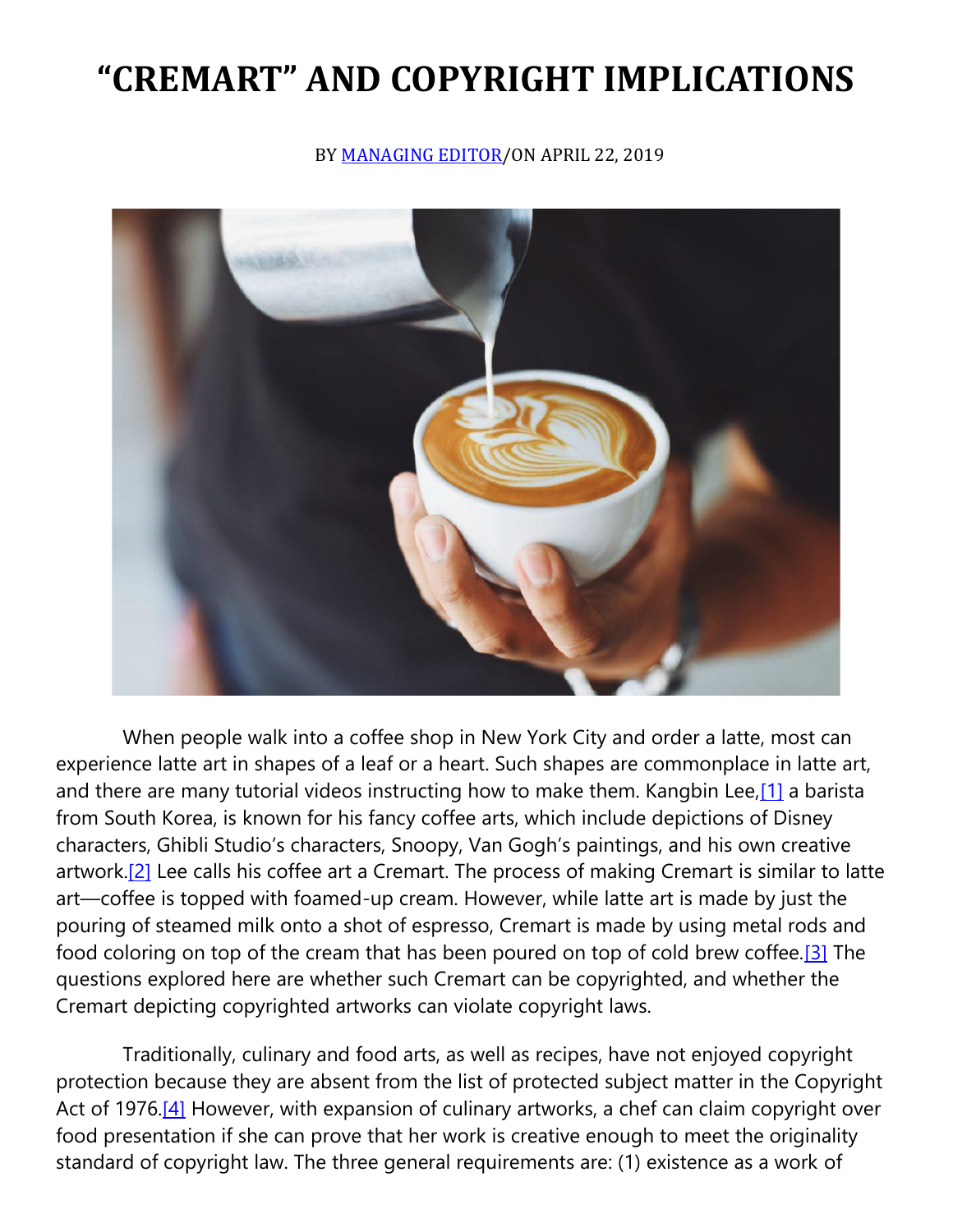# **"CREMART" AND COPYRIGHT IMPLICATIONS**

BY [MANAGING EDITOR/](https://cardozoaelj.com/author/admin/)ON APRIL 22, 2019



 When people walk into a coffee shop in New York City and order a latte, most can experience latte art in shapes of a leaf or a heart. Such shapes are commonplace in latte art, and there are many tutorial videos instructing how to make them. Kangbin Lee,<sup>[1]</sup> a barista from South Korea, is known for his fancy coffee arts, which include depictions of Disney characters, Ghibli Studio's characters, Snoopy, Van Gogh's paintings, and his own creative artwork.<sup>[2]</sup> Lee calls his coffee art a Cremart. The process of making Cremart is similar to latte art—coffee is topped with foamed-up cream. However, while latte art is made by just the pouring of steamed milk onto a shot of espresso, Cremart is made by using metal rods and food coloring on top of the cream that has been poured on top of cold brew coffee[.\[3\]](https://cardozoaelj.com/2019/04/22/cremart-and-copyright-implications/#_ftn3) The questions explored here are whether such Cremart can be copyrighted, and whether the Cremart depicting copyrighted artworks can violate copyright laws.

 Traditionally, culinary and food arts, as well as recipes, have not enjoyed copyright protection because they are absent from the list of protected subject matter in the Copyright Act of 1976[.\[4\]](https://cardozoaelj.com/2019/04/22/cremart-and-copyright-implications/#_ftn4) However, with expansion of culinary artworks, a chef can claim copyright over food presentation if she can prove that her work is creative enough to meet the originality standard of copyright law. The three general requirements are: (1) existence as a work of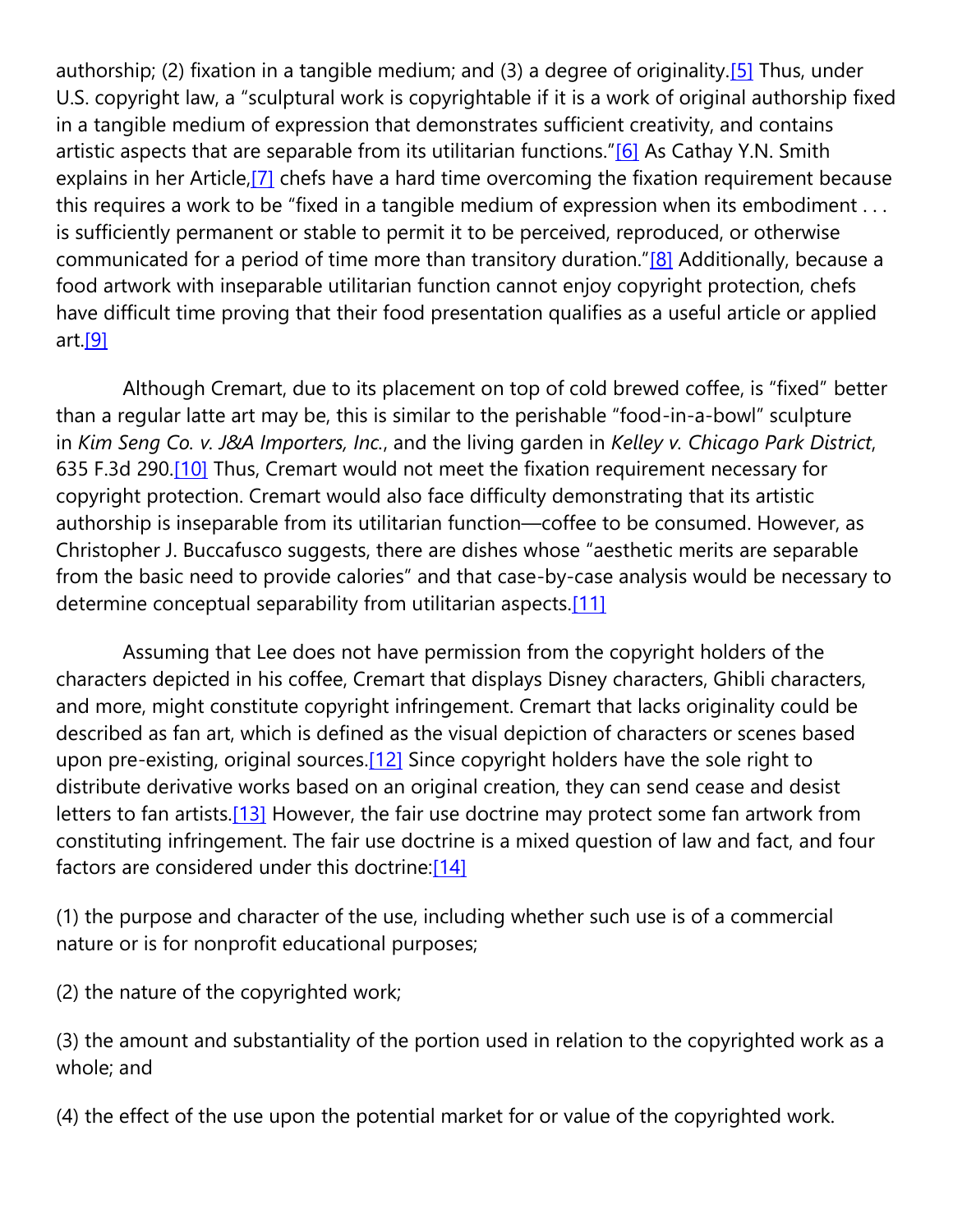authorship; (2) fixation in a tangible medium; and (3) a degree of originality. [5] Thus, under U.S. copyright law, a "sculptural work is copyrightable if it is a work of original authorship fixed in a tangible medium of expression that demonstrates sufficient creativity, and contains artistic aspects that are separable from its utilitarian functions."[\[6\]](https://cardozoaelj.com/2019/04/22/cremart-and-copyright-implications/#_ftn6) As Cathay Y.N. Smith explains in her Article,<sup>[7]</sup> chefs have a hard time overcoming the fixation requirement because this requires a work to be "fixed in a tangible medium of expression when its embodiment . . . is sufficiently permanent or stable to permit it to be perceived, reproduced, or otherwise communicated for a period of time more than transitory duration."[\[8\]](https://cardozoaelj.com/2019/04/22/cremart-and-copyright-implications/#_ftn8) Additionally, because a food artwork with inseparable utilitarian function cannot enjoy copyright protection, chefs have difficult time proving that their food presentation qualifies as a useful article or applied art[.\[9\]](https://cardozoaelj.com/2019/04/22/cremart-and-copyright-implications/#_ftn9)

 Although Cremart, due to its placement on top of cold brewed coffee, is "fixed" better than a regular latte art may be, this is similar to the perishable "food-in-a-bowl" sculpture in *Kim Seng Co. v. J&A Importers, Inc.*, and the living garden in *Kelley v. Chicago Park District*, 635 F.3d 290[.\[10\]](https://cardozoaelj.com/2019/04/22/cremart-and-copyright-implications/#_ftn10) Thus, Cremart would not meet the fixation requirement necessary for copyright protection. Cremart would also face difficulty demonstrating that its artistic authorship is inseparable from its utilitarian function—coffee to be consumed. However, as Christopher J. Buccafusco suggests, there are dishes whose "aesthetic merits are separable from the basic need to provide calories" and that case-by-case analysis would be necessary to determine conceptual separability from utilitarian aspects[.\[11\]](https://cardozoaelj.com/2019/04/22/cremart-and-copyright-implications/#_ftn11)

 Assuming that Lee does not have permission from the copyright holders of the characters depicted in his coffee, Cremart that displays Disney characters, Ghibli characters, and more, might constitute copyright infringement. Cremart that lacks originality could be described as fan art, which is defined as the visual depiction of characters or scenes based upon pre-existing, original sources.<sup>[12]</sup> Since copyright holders have the sole right to distribute derivative works based on an original creation, they can send cease and desist letters to fan artists.<sup>[13]</sup> However, the fair use doctrine may protect some fan artwork from constituting infringement. The fair use doctrine is a mixed question of law and fact, and four factors are considered under this doctrine[:\[14\]](https://cardozoaelj.com/2019/04/22/cremart-and-copyright-implications/#_ftn14)

(1) the purpose and character of the use, including whether such use is of a commercial nature or is for nonprofit educational purposes;

(2) the nature of the copyrighted work;

(3) the amount and substantiality of the portion used in relation to the copyrighted work as a whole; and

(4) the effect of the use upon the potential market for or value of the copyrighted work.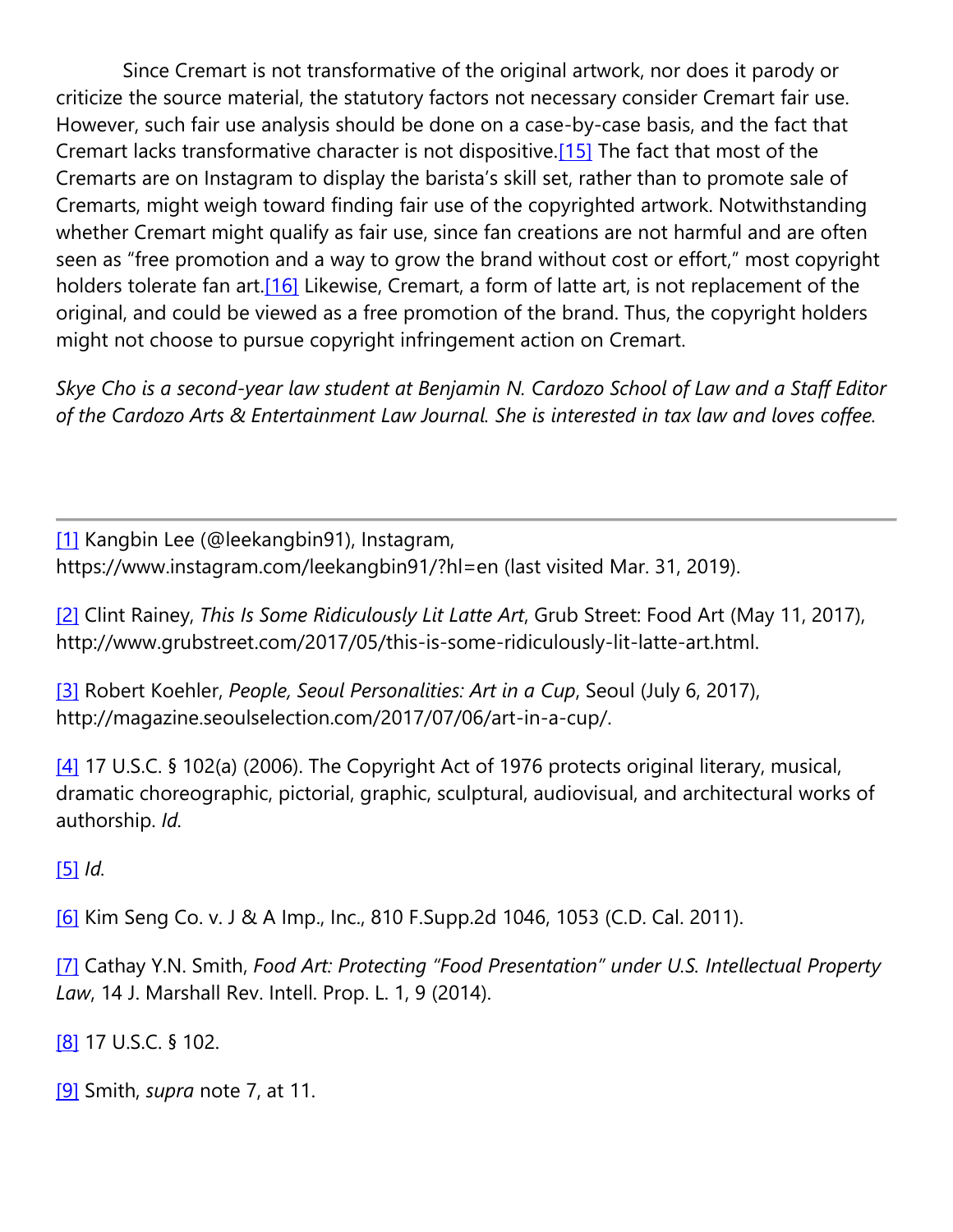Since Cremart is not transformative of the original artwork, nor does it parody or criticize the source material, the statutory factors not necessary consider Cremart fair use. However, such fair use analysis should be done on a case-by-case basis, and the fact that Cremart lacks transformative character is not dispositive.<sup>[15]</sup> The fact that most of the Cremarts are on Instagram to display the barista's skill set, rather than to promote sale of Cremarts, might weigh toward finding fair use of the copyrighted artwork. Notwithstanding whether Cremart might qualify as fair use, since fan creations are not harmful and are often seen as "free promotion and a way to grow the brand without cost or effort," most copyright holders tolerate fan art.<sup>[16]</sup> Likewise, Cremart, a form of latte art, is not replacement of the original, and could be viewed as a free promotion of the brand. Thus, the copyright holders might not choose to pursue copyright infringement action on Cremart.

*Skye Cho is a second-year law student at Benjamin N. Cardozo School of Law and a Staff Editor of the Cardozo Arts & Entertainment Law Journal. She is interested in tax law and loves coffee.*

[\[1\]](https://cardozoaelj.com/2019/04/22/cremart-and-copyright-implications/#_ftnref1) Kangbin Lee (@leekangbin91), Instagram, https://www.instagram.com/leekangbin91/?hl=en (last visited Mar. 31, 2019).

[\[2\]](https://cardozoaelj.com/2019/04/22/cremart-and-copyright-implications/#_ftnref2) Clint Rainey, *This Is Some Ridiculously Lit Latte Art*, Grub Street: Food Art (May 11, 2017), http://www.grubstreet.com/2017/05/this-is-some-ridiculously-lit-latte-art.html.

[\[3\]](https://cardozoaelj.com/2019/04/22/cremart-and-copyright-implications/#_ftnref3) Robert Koehler, *People, Seoul Personalities: Art in a Cup*, Seoul (July 6, 2017), http://magazine.seoulselection.com/2017/07/06/art-in-a-cup/.

[\[4\]](https://cardozoaelj.com/2019/04/22/cremart-and-copyright-implications/#_ftnref4) 17 U.S.C. § 102(a) (2006). The Copyright Act of 1976 protects original literary, musical, dramatic choreographic, pictorial, graphic, sculptural, audiovisual, and architectural works of authorship. *Id.*

[\[5\]](https://cardozoaelj.com/2019/04/22/cremart-and-copyright-implications/#_ftnref5) *Id.*

[\[6\]](https://cardozoaelj.com/2019/04/22/cremart-and-copyright-implications/#_ftnref6) Kim Seng Co. v. J & A Imp., Inc., 810 F.Supp.2d 1046, 1053 (C.D. Cal. 2011).

[\[7\]](https://cardozoaelj.com/2019/04/22/cremart-and-copyright-implications/#_ftnref7) Cathay Y.N. Smith, *Food Art: Protecting "Food Presentation" under U.S. Intellectual Property Law*, 14 J. Marshall Rev. Intell. Prop. L. 1, 9 (2014).

[\[8\]](https://cardozoaelj.com/2019/04/22/cremart-and-copyright-implications/#_ftnref8) 17 U.S.C. § 102.

[\[9\]](https://cardozoaelj.com/2019/04/22/cremart-and-copyright-implications/#_ftnref9) Smith, *supra* note 7, at 11.